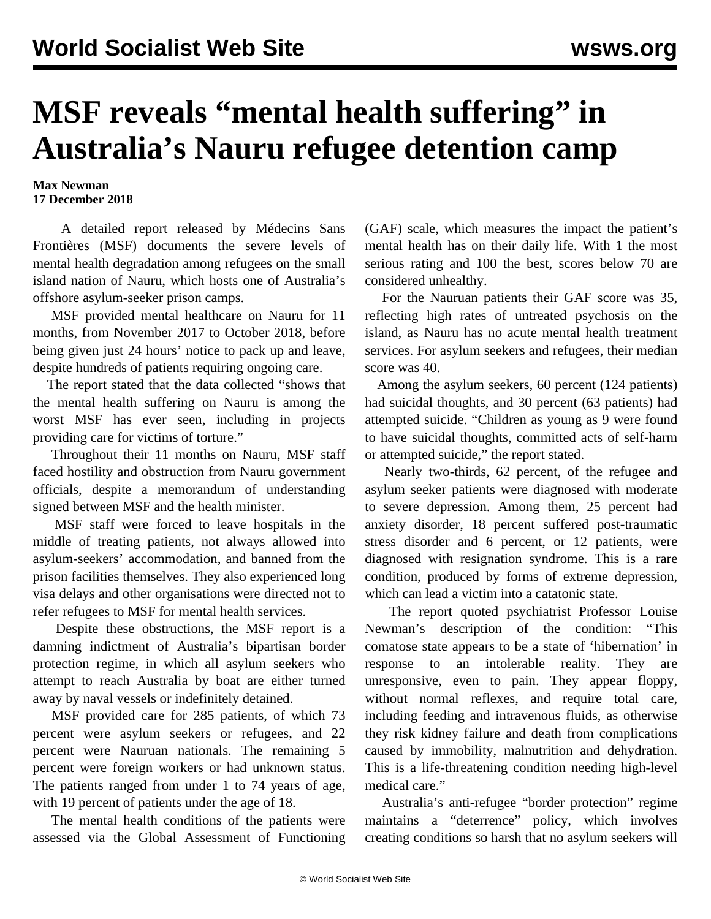## **MSF reveals "mental health suffering" in Australia's Nauru refugee detention camp**

## **Max Newman 17 December 2018**

 A detailed report released by Médecins Sans Frontières (MSF) documents the severe levels of mental health degradation among refugees on the small island nation of Nauru, which hosts one of Australia's offshore asylum-seeker prison camps.

 MSF provided mental healthcare on Nauru for 11 months, from November 2017 to October 2018, before being given just 24 hours' notice to pack up and leave, despite hundreds of patients requiring ongoing care.

 The report stated that the data collected "shows that the mental health suffering on Nauru is among the worst MSF has ever seen, including in projects providing care for victims of torture."

 Throughout their 11 months on Nauru, MSF staff faced hostility and obstruction from Nauru government officials, despite a memorandum of understanding signed between MSF and the health minister.

 MSF staff were forced to leave hospitals in the middle of treating patients, not always allowed into asylum-seekers' accommodation, and banned from the prison facilities themselves. They also experienced long visa delays and other organisations were directed not to refer refugees to MSF for mental health services.

 Despite these obstructions, the MSF report is a damning indictment of Australia's bipartisan border protection regime, in which all asylum seekers who attempt to reach Australia by boat are either turned away by naval vessels or indefinitely detained.

 MSF provided care for 285 patients, of which 73 percent were asylum seekers or refugees, and 22 percent were Nauruan nationals. The remaining 5 percent were foreign workers or had unknown status. The patients ranged from under 1 to 74 years of age, with 19 percent of patients under the age of 18.

 The mental health conditions of the patients were assessed via the Global Assessment of Functioning (GAF) scale, which measures the impact the patient's mental health has on their daily life. With 1 the most serious rating and 100 the best, scores below 70 are considered unhealthy.

 For the Nauruan patients their GAF score was 35, reflecting high rates of untreated psychosis on the island, as Nauru has no acute mental health treatment services. For asylum seekers and refugees, their median score was 40.

 Among the asylum seekers, 60 percent (124 patients) had suicidal thoughts, and 30 percent (63 patients) had attempted suicide. "Children as young as 9 were found to have suicidal thoughts, committed acts of self-harm or attempted suicide," the report stated.

 Nearly two-thirds, 62 percent, of the refugee and asylum seeker patients were diagnosed with moderate to severe depression. Among them, 25 percent had anxiety disorder, 18 percent suffered post-traumatic stress disorder and 6 percent, or 12 patients, were diagnosed with resignation syndrome. This is a rare condition, produced by forms of extreme depression, which can lead a victim into a catatonic state.

 The report quoted psychiatrist Professor Louise Newman's description of the condition: "This comatose state appears to be a state of 'hibernation' in response to an intolerable reality. They are unresponsive, even to pain. They appear floppy, without normal reflexes, and require total care, including feeding and intravenous fluids, as otherwise they risk kidney failure and death from complications caused by immobility, malnutrition and dehydration. This is a life-threatening condition needing high-level medical care."

 Australia's anti-refugee "border protection" regime maintains a "deterrence" policy, which involves creating conditions so harsh that no asylum seekers will